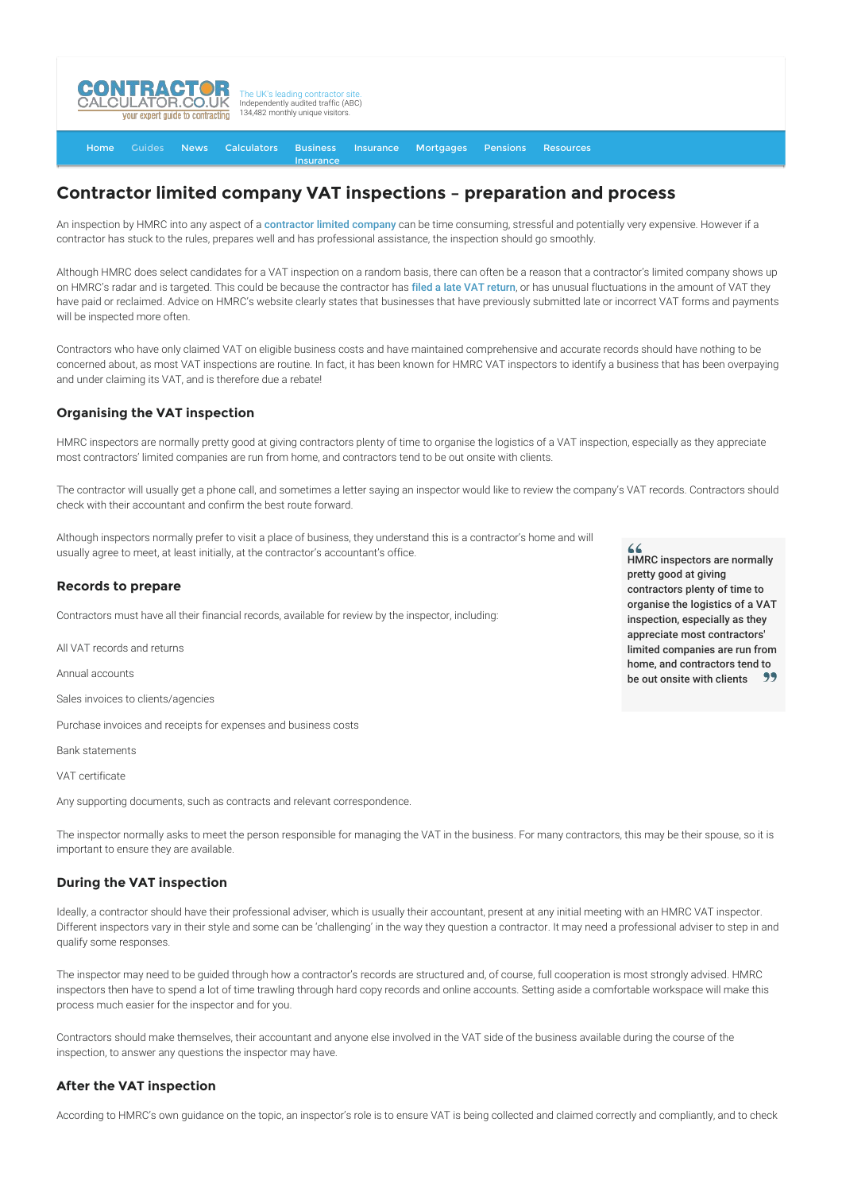

[Home](http://www.contractorcalculator.co.uk/) [Guides](http://www.contractorcalculator.co.uk/Articles.aspx) [News](http://www.contractorcalculator.co.uk/Contractor_News.aspx) [Calculators](http://www.contractorcalculator.co.uk/Calculators.aspx) Business [Insurance](http://www.contractorcalculator.co.uk/Contractor_Insurances.aspx) [Insurance](http://www.contractorcalculator.co.uk/Insurance.aspx) [Mortgages](http://www.contractorcalculator.co.uk/Contractor_Mortgages.aspx) [Pensions](http://www.contractorcalculator.co.uk/Contractor_Pensions.aspx) [Resources](http://www.contractorcalculator.co.uk/Contractor_Resources.aspx)

# **Contractor limited company VAT inspections – preparation and process**

An inspection by HMRC into any aspect of a [contractor limited company](http://www.contractorcalculator.co.uk/limited_companies.aspx) can be time consuming, stressful and potentially very expensive. However if a contractor has stuck to the rules, prepares well and has professional assistance, the inspection should go smoothly.

Although HMRC does select candidates for a VAT inspection on a random basis, there can often be a reason that a contractor's limited company shows up on HMRC's radar and is targeted. This could be because the contractor has [filed a late VAT return](http://www.contractorcalculator.co.uk/filing_late_vat_return_contractor_limited_company.aspx), or has unusual fluctuations in the amount of VAT they have paid or reclaimed. Advice on HMRC's website clearly states that businesses that have previously submitted late or incorrect VAT forms and payments will be inspected more often.

Contractors who have only claimed VAT on eligible business costs and have maintained comprehensive and accurate records should have nothing to be concerned about, as most VAT inspections are routine. In fact, it has been known for HMRC VAT inspectors to identify a business that has been overpaying and under claiming its VAT, and is therefore due a rebate!

## **Organising the VAT inspection**

HMRC inspectors are normally pretty good at giving contractors plenty of time to organise the logistics of a VAT inspection, especially as they appreciate most contractors' limited companies are run from home, and contractors tend to be out onsite with clients.

The contractor will usually get a phone call, and sometimes a letter saying an inspector would like to review the company's VAT records. Contractors should check with their accountant and confirm the best route forward.

Although inspectors normally prefer to visit a place of business, they understand this is a contractor's home and will usually agree to meet, at least initially, at the contractor's accountant's office.

## **Records to prepare**

Contractors must have all their financial records, available for review by the inspector, including:

All VAT records and returns

Annual accounts

Sales invoices to clients/agencies

Purchase invoices and receipts for expenses and business costs

Bank statements

VAT certificate

Any supporting documents, such as contracts and relevant correspondence.

The inspector normally asks to meet the person responsible for managing the VAT in the business. For many contractors, this may be their spouse, so it is important to ensure they are available.

#### **During the VAT inspection**

Ideally, a contractor should have their professional adviser, which is usually their accountant, present at any initial meeting with an HMRC VAT inspector. Different inspectors vary in their style and some can be 'challenging' in the way they question a contractor. It may need a professional adviser to step in and qualify some responses.

The inspector may need to be guided through how a contractor's records are structured and, of course, full cooperation is most strongly advised. HMRC inspectors then have to spend a lot of time trawling through hard copy records and online accounts. Setting aside a comfortable workspace will make this process much easier for the inspector and for you.

Contractors should make themselves, their accountant and anyone else involved in the VAT side of the business available during the course of the inspection, to answer any questions the inspector may have.

#### **After the VAT inspection**

According to HMRC's own guidance on the topic, an inspector's role is to ensure VAT is being collected and claimed correctly and compliantly, and to check

HMRC inspectors are normally pretty good at giving contractors plenty of time to organise the logistics of a VAT inspection, especially as they appreciate most contractors' limited companies are run from home, and contractors tend to be out onsite with clients -99